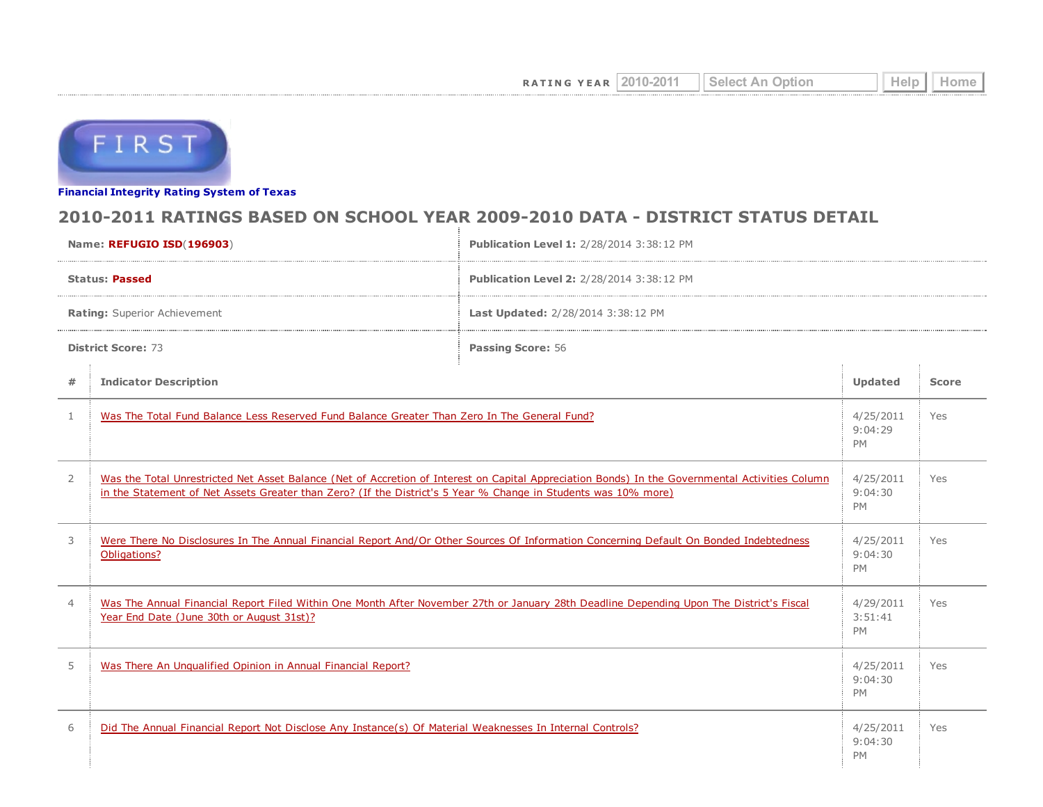

Financial [Integrity](http://tea4avwaylon.tea.state.tx.us/First/forms/main.aspx) Rating System of Texas

## 2010-2011 RATINGS BASED ON SCHOOL YEAR 2009-2010 DATA - DISTRICT STATUS DETAIL

| Name: REFUGIO ISD(196903)    |                                                                                                                                                                                                                                                                   | Publication Level 1: 2/28/2014 3:38:12 PM |                                   |              |  |  |
|------------------------------|-------------------------------------------------------------------------------------------------------------------------------------------------------------------------------------------------------------------------------------------------------------------|-------------------------------------------|-----------------------------------|--------------|--|--|
| <b>Status: Passed</b>        |                                                                                                                                                                                                                                                                   | Publication Level 2: 2/28/2014 3:38:12 PM |                                   |              |  |  |
| Rating: Superior Achievement |                                                                                                                                                                                                                                                                   | Last Updated: 2/28/2014 3:38:12 PM        |                                   |              |  |  |
| <b>District Score: 73</b>    |                                                                                                                                                                                                                                                                   | <b>Passing Score: 56</b>                  |                                   |              |  |  |
| #                            | <b>Indicator Description</b>                                                                                                                                                                                                                                      |                                           |                                   | <b>Score</b> |  |  |
| $\mathbf{1}$                 | Was The Total Fund Balance Less Reserved Fund Balance Greater Than Zero In The General Fund?                                                                                                                                                                      |                                           | 4/25/2011<br>9:04:29<br><b>PM</b> | Yes          |  |  |
| $\overline{2}$               | Was the Total Unrestricted Net Asset Balance (Net of Accretion of Interest on Capital Appreciation Bonds) In the Governmental Activities Column<br>in the Statement of Net Assets Greater than Zero? (If the District's 5 Year % Change in Students was 10% more) |                                           |                                   | Yes          |  |  |
| 3                            | Were There No Disclosures In The Annual Financial Report And/Or Other Sources Of Information Concerning Default On Bonded Indebtedness<br>Obligations?                                                                                                            |                                           |                                   | Yes          |  |  |
| $\overline{4}$               | Was The Annual Financial Report Filed Within One Month After November 27th or January 28th Deadline Depending Upon The District's Fiscal<br>Year End Date (June 30th or August 31st)?                                                                             |                                           | 4/29/2011<br>3:51:41<br><b>PM</b> | Yes          |  |  |
| 5                            | Was There An Ungualified Opinion in Annual Financial Report?                                                                                                                                                                                                      |                                           | 4/25/2011<br>9:04:30<br><b>PM</b> | Yes          |  |  |
| 6                            | Did The Annual Financial Report Not Disclose Any Instance(s) Of Material Weaknesses In Internal Controls?                                                                                                                                                         |                                           | 4/25/2011<br>9:04:30<br><b>PM</b> | Yes          |  |  |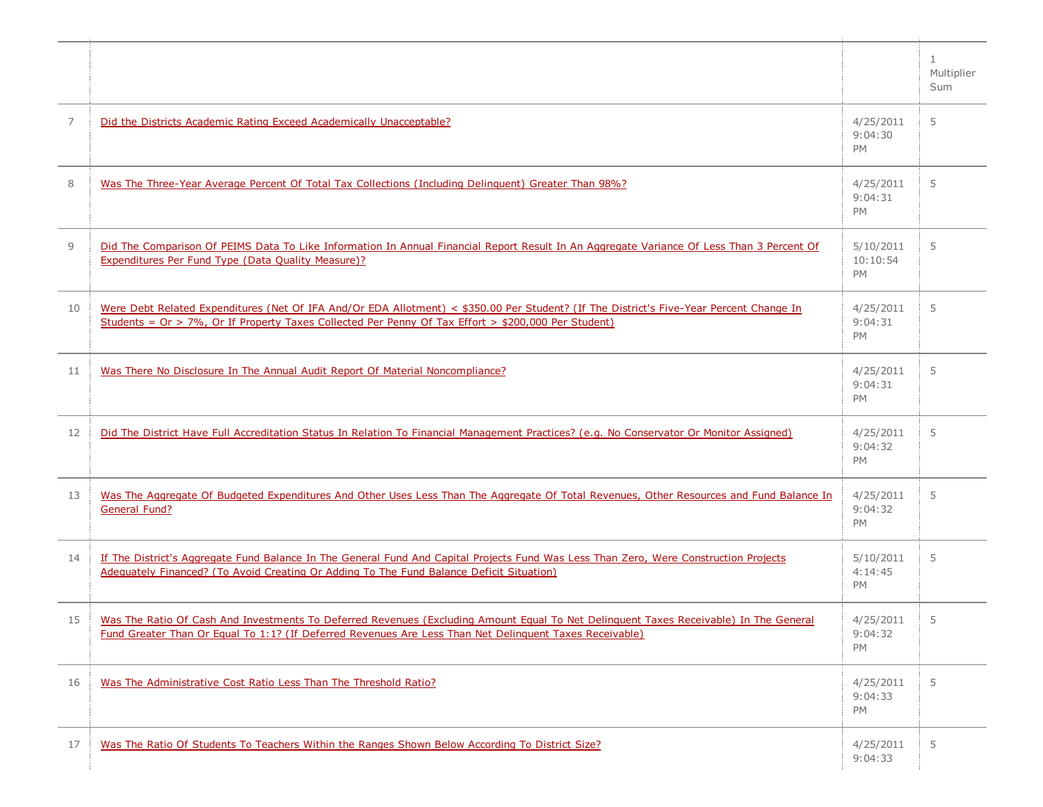|                |                                                                                                                                                                                                                                                         |                                   | 1<br>Multiplier<br>Sum |
|----------------|---------------------------------------------------------------------------------------------------------------------------------------------------------------------------------------------------------------------------------------------------------|-----------------------------------|------------------------|
| $\overline{7}$ | Did the Districts Academic Rating Exceed Academically Unacceptable?                                                                                                                                                                                     | 4/25/2011<br>9:04:30<br>PM        | 5                      |
| 8              | Was The Three-Year Average Percent Of Total Tax Collections (Including Delinguent) Greater Than 98%?                                                                                                                                                    | 4/25/2011<br>9:04:31<br>PM        | 5                      |
| 9              | Did The Comparison Of PEIMS Data To Like Information In Annual Financial Report Result In An Aggregate Variance Of Less Than 3 Percent Of<br>Expenditures Per Fund Type (Data Quality Measure)?                                                         | 5/10/2011<br>10:10:54<br>PM       | 5                      |
| 10             | Were Debt Related Expenditures (Net Of IFA And/Or EDA Allotment) < \$350.00 Per Student? (If The District's Five-Year Percent Change In<br>Students = $Or > 7\%$ , Or If Property Taxes Collected Per Penny Of Tax Effort > \$200,000 Per Student)      | 4/25/2011<br>9:04:31<br><b>PM</b> | 5                      |
| 11             | Was There No Disclosure In The Annual Audit Report Of Material Noncompliance?                                                                                                                                                                           | 4/25/2011<br>9:04:31<br>PM        | 5                      |
| 12             | Did The District Have Full Accreditation Status In Relation To Financial Management Practices? (e.g. No Conservator Or Monitor Assigned)                                                                                                                | 4/25/2011<br>9:04:32<br>PM        | 5                      |
| 13             | Was The Aggregate Of Budgeted Expenditures And Other Uses Less Than The Aggregate Of Total Revenues, Other Resources and Fund Balance In<br><b>General Fund?</b>                                                                                        | 4/25/2011<br>9:04:32<br>PM        | 5                      |
| 14             | If The District's Aggregate Fund Balance In The General Fund And Capital Projects Fund Was Less Than Zero, Were Construction Projects<br>Adequately Financed? (To Avoid Creating Or Adding To The Fund Balance Deficit Situation)                       | 5/10/2011<br>4:14:45<br><b>PM</b> | 5                      |
| 15             | Was The Ratio Of Cash And Investments To Deferred Revenues (Excluding Amount Equal To Net Delinguent Taxes Receivable) In The General<br><u>Fund Greater Than Or Equal To 1:1? (If Deferred Revenues Are Less Than Net Delinguent Taxes Receivable)</u> | 4/25/2011<br>9:04:32<br>PM        | 5                      |
| 16             | Was The Administrative Cost Ratio Less Than The Threshold Ratio?                                                                                                                                                                                        | 4/25/2011<br>9:04:33<br>PM        | 5                      |
| 17             | Was The Ratio Of Students To Teachers Within the Ranges Shown Below According To District Size?                                                                                                                                                         | 4/25/2011<br>9:04:33              | 5                      |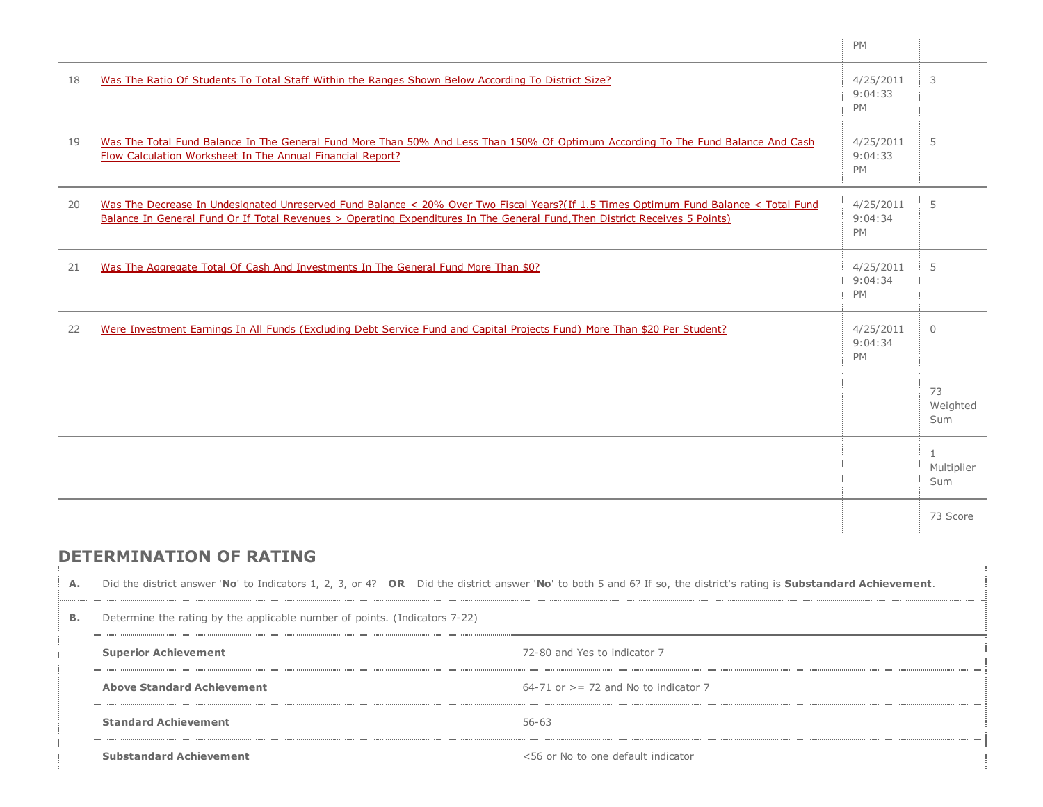|    |                                                                                                                                                                                                                                                                     | <b>PM</b>                         |                        |
|----|---------------------------------------------------------------------------------------------------------------------------------------------------------------------------------------------------------------------------------------------------------------------|-----------------------------------|------------------------|
| 18 | Was The Ratio Of Students To Total Staff Within the Ranges Shown Below According To District Size?                                                                                                                                                                  | 4/25/2011<br>9:04:33<br><b>PM</b> | 3                      |
| 19 | Was The Total Fund Balance In The General Fund More Than 50% And Less Than 150% Of Optimum According To The Fund Balance And Cash<br>Flow Calculation Worksheet In The Annual Financial Report?                                                                     | 4/25/2011<br>9:04:33<br><b>PM</b> | 5                      |
| 20 | Was The Decrease In Undesignated Unreserved Fund Balance < 20% Over Two Fiscal Years?(If 1.5 Times Optimum Fund Balance < Total Fund<br>Balance In General Fund Or If Total Revenues > Operating Expenditures In The General Fund, Then District Receives 5 Points) | 4/25/2011<br>9:04:34<br>PM        | 5                      |
| 21 | Was The Aggregate Total Of Cash And Investments In The General Fund More Than \$0?                                                                                                                                                                                  | 4/25/2011<br>9:04:34<br><b>PM</b> | 5                      |
| 22 | Were Investment Earnings In All Funds (Excluding Debt Service Fund and Capital Projects Fund) More Than \$20 Per Student?                                                                                                                                           | 4/25/2011<br>9:04:34<br><b>PM</b> | $\Omega$               |
|    |                                                                                                                                                                                                                                                                     |                                   | 73<br>Weighted<br>Sum  |
|    |                                                                                                                                                                                                                                                                     |                                   | 1<br>Multiplier<br>Sum |
|    |                                                                                                                                                                                                                                                                     |                                   | 73 Score               |

## DETERMINATION OF RATING

| А.        | Did the district answer 'No' to Indicators 1, 2, 3, or 4? OR Did the district answer 'No' to both 5 and 6? If so, the district's rating is Substandard Achievement. |                                          |  |  |
|-----------|---------------------------------------------------------------------------------------------------------------------------------------------------------------------|------------------------------------------|--|--|
| <b>B.</b> | Determine the rating by the applicable number of points. (Indicators 7-22)                                                                                          |                                          |  |  |
|           | <b>Superior Achievement</b>                                                                                                                                         | 72-80 and Yes to indicator 7             |  |  |
|           | <b>Above Standard Achievement</b>                                                                                                                                   | $64-71$ or $>= 72$ and No to indicator 7 |  |  |
|           | <b>Standard Achievement</b>                                                                                                                                         | $56 - 63$                                |  |  |
|           | <b>Substandard Achievement</b>                                                                                                                                      | <56 or No to one default indicator       |  |  |